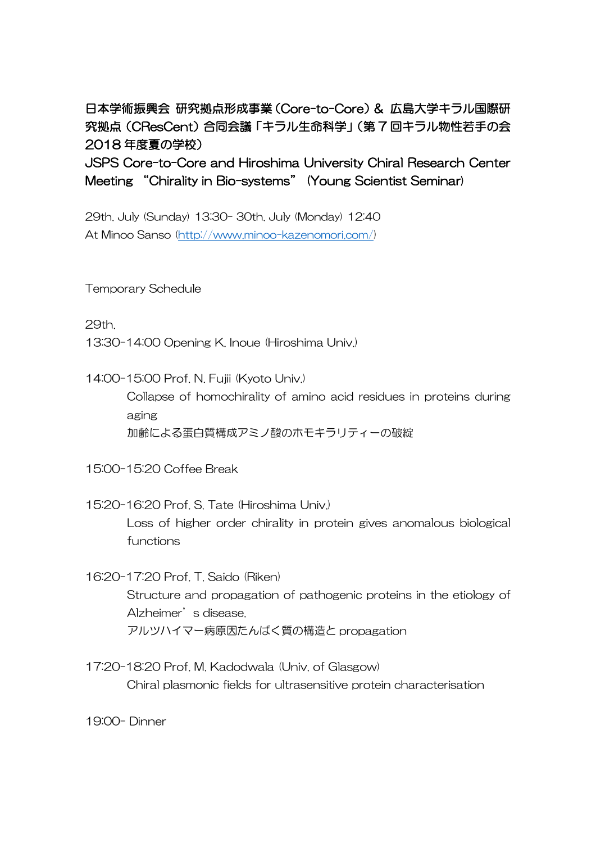## 日本学術振興会 研究拠点形成事業(Core-to-Core)& 広島大学キラル国際研 究拠点(CResCent)合同会議「キラル生命科学」(第 7 回キラル物性若手の会 2018 年度夏の学校)

JSPS Core-to-Core and Hiroshima University Chiral Research Center Meeting "Chirality in Bio-systems" (Young Scientist Seminar)

29th. July (Sunday) 13:30- 30th. July (Monday) 12:40 At Minoo Sanso [\(http://www.minoo-kazenomori.com/\)](http://www.minoo-kazenomori.com/)

Temporary Schedule

29th.

13:30-14:00 Opening K. Inoue (Hiroshima Univ.)

14:00-15:00 Prof. N. Fujii (Kyoto Univ.)

Collapse of homochirality of amino acid residues in proteins during aging 加齢による蛋白質構成アミノ酸のホモキラリティーの破綻

15:00-15:20 Coffee Break

- 15:20-16:20 Prof. S. Tate (Hiroshima Univ.) Loss of higher order chirality in protein gives anomalous biological functions
- 16:20-17:20 Prof. T. Saido (Riken) Structure and propagation of pathogenic proteins in the etiology of Alzheimer's disease. アルツハイマー病原因たんぱく質の構造と propagation
- 17:20-18:20 Prof. M. Kadodwala (Univ. of Glasgow) Chiral plasmonic fields for ultrasensitive protein characterisation

19:00- Dinner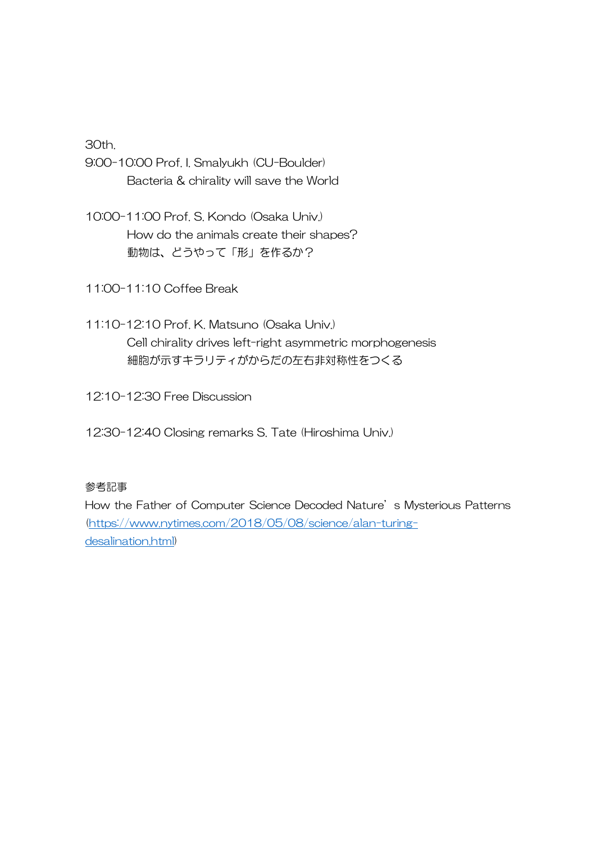30th.

- 9:00-10:00 Prof. I. Smalyukh (CU-Boulder) Bacteria & chirality will save the World
- 10:00-11:00 Prof. S. Kondo (Osaka Univ.) How do the animals create their shapes? 動物は、どうやって「形」を作るか?

11:00-11:10 Coffee Break

11:10-12:10 Prof. K. Matsuno (Osaka Univ.) Cell chirality drives left-right asymmetric morphogenesis 細胞が示すキラリティがからだの左右非対称性をつくる

12:10-12:30 Free Discussion

12:30-12:40 Closing remarks S. Tate (Hiroshima Univ.)

## 参考記事

How the Father of Computer Science Decoded Nature's Mysterious Patterns [\(https://www.nytimes.com/2018/05/08/science/alan-turing](https://www.nytimes.com/2018/05/08/science/alan-turing-desalination.html?act)[desalination.html\)](https://www.nytimes.com/2018/05/08/science/alan-turing-desalination.html?act)